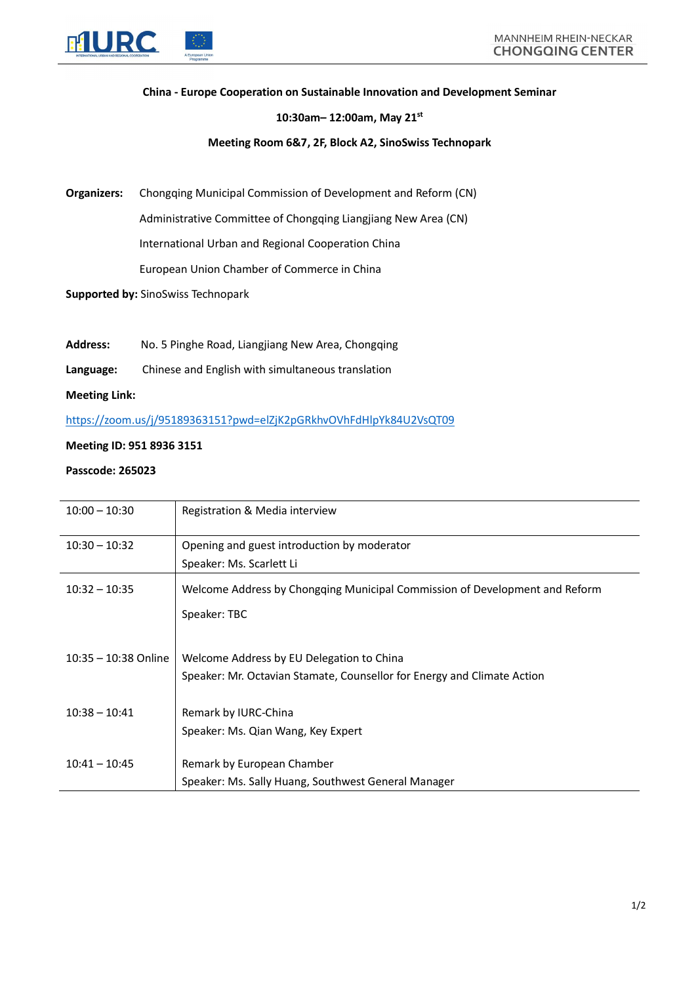

## China - Europe Cooperation on Sustainable Innovation and Development Seminar

#### 10:30am– 12:00am, May 21st

## Meeting Room 6&7, 2F, Block A2, SinoSwiss Technopark

Organizers: Chongqing Municipal Commission of Development and Reform (CN)

Administrative Committee of Chongqing Liangjiang New Area (CN)

International Urban and Regional Cooperation China

European Union Chamber of Commerce in China

Supported by: SinoSwiss Technopark

- Address: No. 5 Pinghe Road, Liangjiang New Area, Chongqing
- Language: Chinese and English with simultaneous translation

Meeting Link:

https://zoom.us/j/95189363151?pwd=elZjK2pGRkhvOVhFdHlpYk84U2VsQT09

## Meeting ID: 951 8936 3151

# Passcode: 265023

| $10:00 - 10:30$        | Registration & Media interview                                              |
|------------------------|-----------------------------------------------------------------------------|
| $10:30 - 10:32$        | Opening and guest introduction by moderator                                 |
|                        | Speaker: Ms. Scarlett Li                                                    |
| $10:32 - 10:35$        | Welcome Address by Chongqing Municipal Commission of Development and Reform |
|                        | Speaker: TBC                                                                |
|                        |                                                                             |
| $10:35 - 10:38$ Online | Welcome Address by EU Delegation to China                                   |
|                        | Speaker: Mr. Octavian Stamate, Counsellor for Energy and Climate Action     |
| $10:38 - 10:41$        | Remark by IURC-China                                                        |
|                        | Speaker: Ms. Qian Wang, Key Expert                                          |
|                        |                                                                             |
| $10:41 - 10:45$        | Remark by European Chamber                                                  |
|                        | Speaker: Ms. Sally Huang, Southwest General Manager                         |